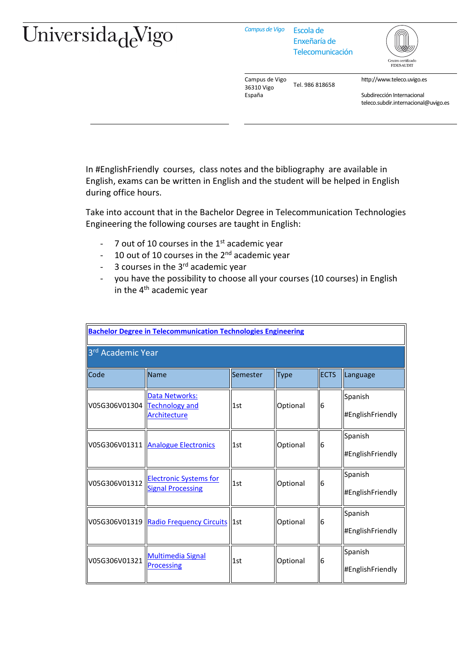## Universida<sub>de</sub>Vigo

*Campus de Vigo* Escola de

Enxeñaría de Telecomunicación



Campus de Vigo 36310 Vigo España Tel. 986 818658

http://www.teleco.uvigo.es

Subdirección Internacional teleco.subdir.internacional@uvigo.es

In #EnglishFriendly courses, class notes and the bibliography are available in English, exams can be written in English and the student will be helped in English during office hours.

Take into account that in the Bachelor Degree in Telecommunication Technologies Engineering the following courses are taught in English:

- 7 out of 10 courses in the  $1<sup>st</sup>$  academic year
- 10 out of 10 courses in the  $2^{nd}$  academic year
- $-$  3 courses in the  $3<sup>rd</sup>$  academic year
- you have the possibility to choose all your courses (10 courses) in English in the  $4<sup>th</sup>$  academic year

| <b>Bachelor Degree in Telecommunication Technologies Engineering</b> |                                                           |          |             |             |                             |  |  |  |
|----------------------------------------------------------------------|-----------------------------------------------------------|----------|-------------|-------------|-----------------------------|--|--|--|
| 3 <sup>rd</sup> Academic Year                                        |                                                           |          |             |             |                             |  |  |  |
| Code                                                                 | Name                                                      | Semester | <b>Type</b> | <b>ECTS</b> | Language                    |  |  |  |
| V05G306V01304 Technology and                                         | Data Networks:<br>Architecture                            | 1st      | Optional    | 6           | Spanish<br>#EnglishFriendly |  |  |  |
|                                                                      | V05G306V01311 Analogue Electronics                        | 1st      | Optional    | 6           | Spanish<br>#EnglishFriendly |  |  |  |
| V05G306V01312                                                        | <b>Electronic Systems for</b><br><b>Signal Processing</b> | 1st      | Optional    | 6           | Spanish<br>#EnglishFriendly |  |  |  |
|                                                                      | V05G306V01319  Radio Frequency Circuits  1st              |          | Optional    | 6           | Spanish<br>#EnglishFriendly |  |  |  |
| V05G306V01321                                                        | <b>Multimedia Signal</b><br><b>Processing</b>             | 1st      | Optional    | 6           | Spanish<br>#EnglishFriendly |  |  |  |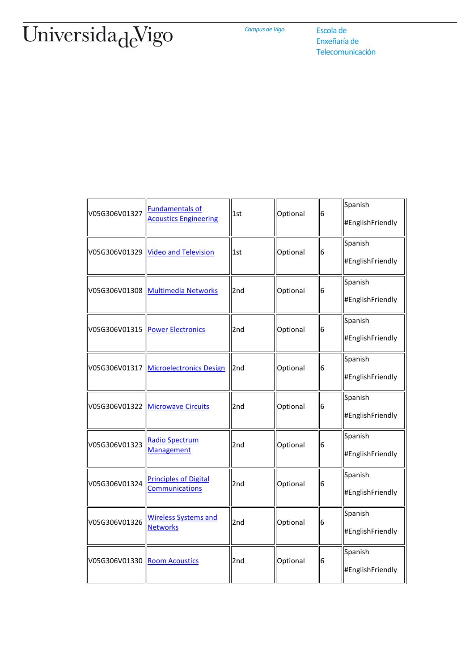## UniversidadeVigo

*Campus de Vigo* Escola de

Enxeñaría de Telecomunicación

| V05G306V01327                  | <b>Fundamentals of</b><br><b>Acoustics Engineering</b> | 1st | Optional | 6 | Spanish<br>#EnglishFriendly |
|--------------------------------|--------------------------------------------------------|-----|----------|---|-----------------------------|
|                                | V05G306V01329 Video and Television                     | 1st | Optional | 6 | Spanish<br>#EnglishFriendly |
|                                | V05G306V01308 Multimedia Networks                      | 2nd | Optional | 6 | Spanish<br>#EnglishFriendly |
|                                | V05G306V01315 Power Electronics                        | 2nd | Optional | 6 | Spanish<br>#EnglishFriendly |
|                                | V05G306V01317 Microelectronics Design                  | 2nd | Optional | 6 | Spanish<br>#EnglishFriendly |
|                                | V05G306V01322 Microwave Circuits                       | 2nd | Optional | 6 | Spanish<br>#EnglishFriendly |
| V05G306V01323                  | Radio Spectrum<br>Management                           | 2nd | Optional | 6 | Spanish<br>#EnglishFriendly |
| V05G306V01324                  | <b>Principles of Digital</b><br>Communications         | 2nd | Optional | 6 | Spanish<br>#EnglishFriendly |
| V05G306V01326                  | <b>Wireless Systems and</b><br><b>Networks</b>         | 2nd | Optional | 6 | Spanish<br>#EnglishFriendly |
| V05G306V01330   Room Acoustics |                                                        | 2nd | Optional | 6 | Spanish<br>#EnglishFriendly |